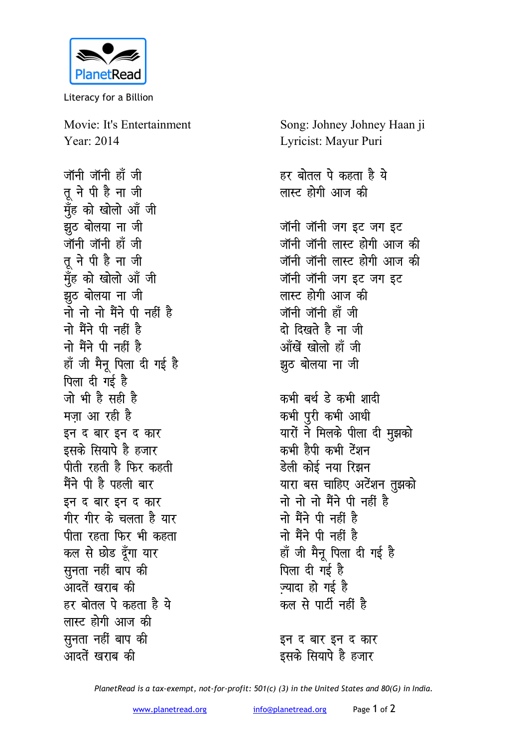

Literacy for a Billion

Movie: It's Entertainment Year: 2014

जॉनी जॉनी हाँ जी तू ने पी है ना जी मुँह को खोलो आँ जी झूठ बोलया ना जी जॉनी जॉनी हॉ जी तू ने पी है ना जी मॅंह को खोलो आँ जी झठ बोलया ना जी नो नो नो मैंने पी नहीं है नो मैंने पी नहीं है नो मैंने पी नहीं है हाँ जी मैनू पिला दी गई है पिला दी गई है जो भी है सही है मजा आ रही है इन द बार इन द कार इसके सियापे है हजार पीती रहती है फिर कहती मैंने पी है पहली बार इन द बार इन द कार गीर गीर के चलता है यार पीता रहता फिर भी कहता कल से छोड दूँगा यार सुनता नहीं बाप की आदतें खराब की हर बोतल पे कहता है ये लास्ट होगी आज की सुनता नहीं बाप की आदतें खराब की

Song: Johney Johney Haan ji Lyricist: Mayur Puri हर बोतल पे कहता है ये लास्ट होगी आज की जॉनी जॉनी जग इट जग इट जॉनी जॉनी लास्ट होगी आज की जॉनी जॉनी लास्ट होगी आज की जॉनी जॉनी जग इट जग इट लास्ट होगी आज की जॉनी जॉनी हाँ जी दो दिखते है ना जी आँखें खोलो हाँ जी झूठ बोलया ना जी कभी बर्थ डे कभी शादी कभी पुरी कभी आधी यारों ने मिलके पीला दी मुझको कभी हैपी कभी टेंशन डेली कोई नया रिझन यारा बस चाहिए अटेंशन तुझको नो नो नो मैंने पी नहीं है नो मैंने पी नहीं है नो मैंने पी नहीं है हाँ जी मैनू पिला दी गई है पिला दी गई है ज्यादा हो गई है कल से पार्टी नहीं है इन द बार इन द कार इसके सियापे है हजार

PlanetRead is a tax-exempt, not-for-profit: 501(c) (3) in the United States and 80(G) in India.